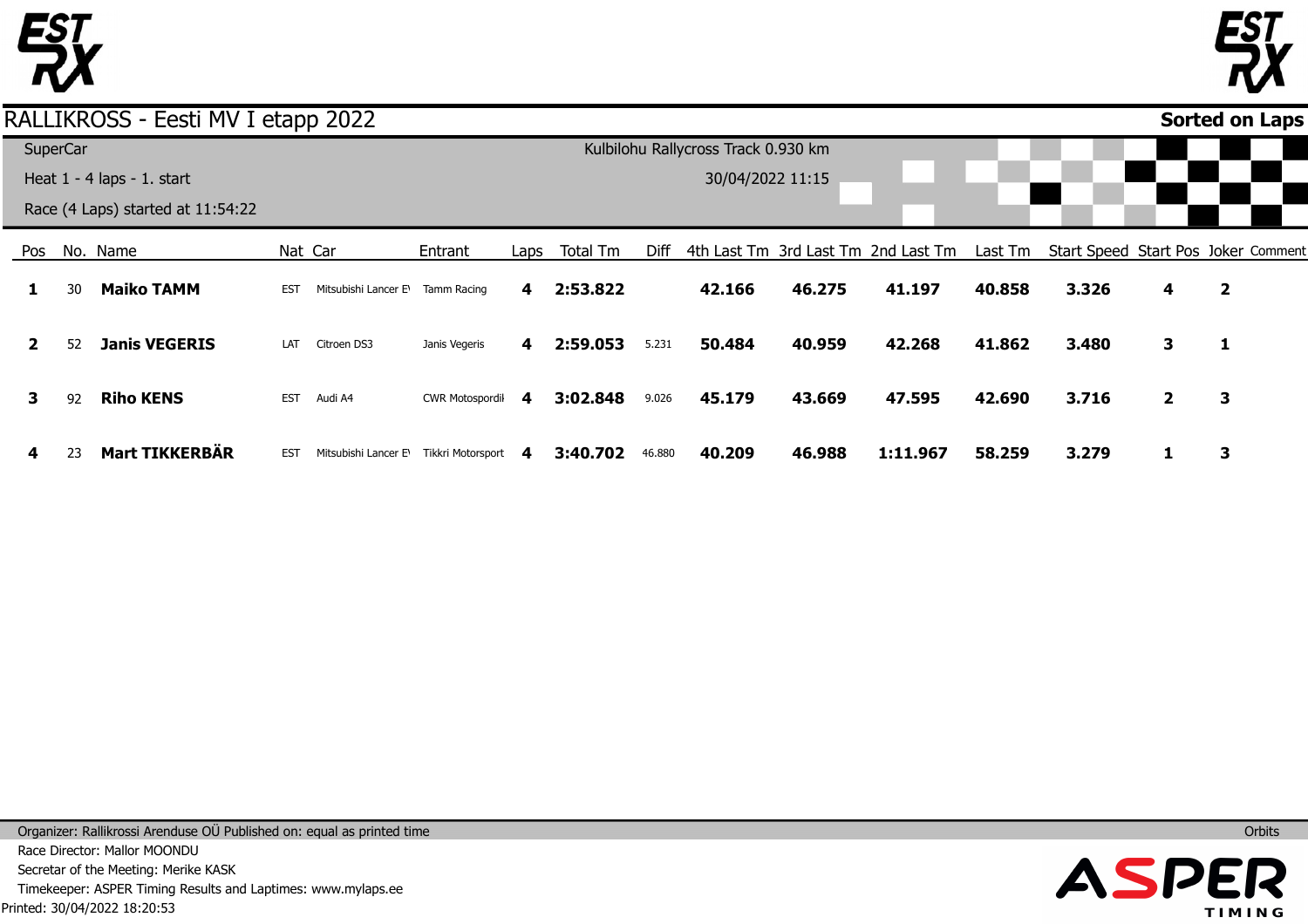

#### Pos **1 2 3 4** No. Name 30 52 92 23 **Maiko TAMM Janis VEGERIS Riho KENS Mart TIKKERBÄR** Nat Car EST Mitsubishi Lancer E\Tamm Racing LAT Citroen DS3 EST Audi A4 EST Mitsubishi Lancer E\Tikkri Motorsport 4 Entrant Janis Vegeris CWR Motospordil Laps **4 4 4** Total Tm **2:53.822 2:59.053 3:02.848 3:40.702** Diff 4th Last Tm 3rd Last Tm 2nd Last Tm 5.231 9.026 46.880 **42.166 50.484 45.179 40.209 46.275 40.959 43.669 46.988 41.197 42.268 47.595 1:11.967** Last Tm Start Speed Start Pos Joker Comment **40.858 41.862 42.690 58.259 3.326 3.480 3.716 3.279 4 3 2 1 2 1 3 3 Sorted on Laps**RALLIKROSS - Eesti MV I etapp 2022 **SuperCar** Heat 1 - 4 laps - 1. start Race (4 Laps) started at 11:54:22 Kulbilohu Rallycross Track 0.930 km 30/04/2022 11:15

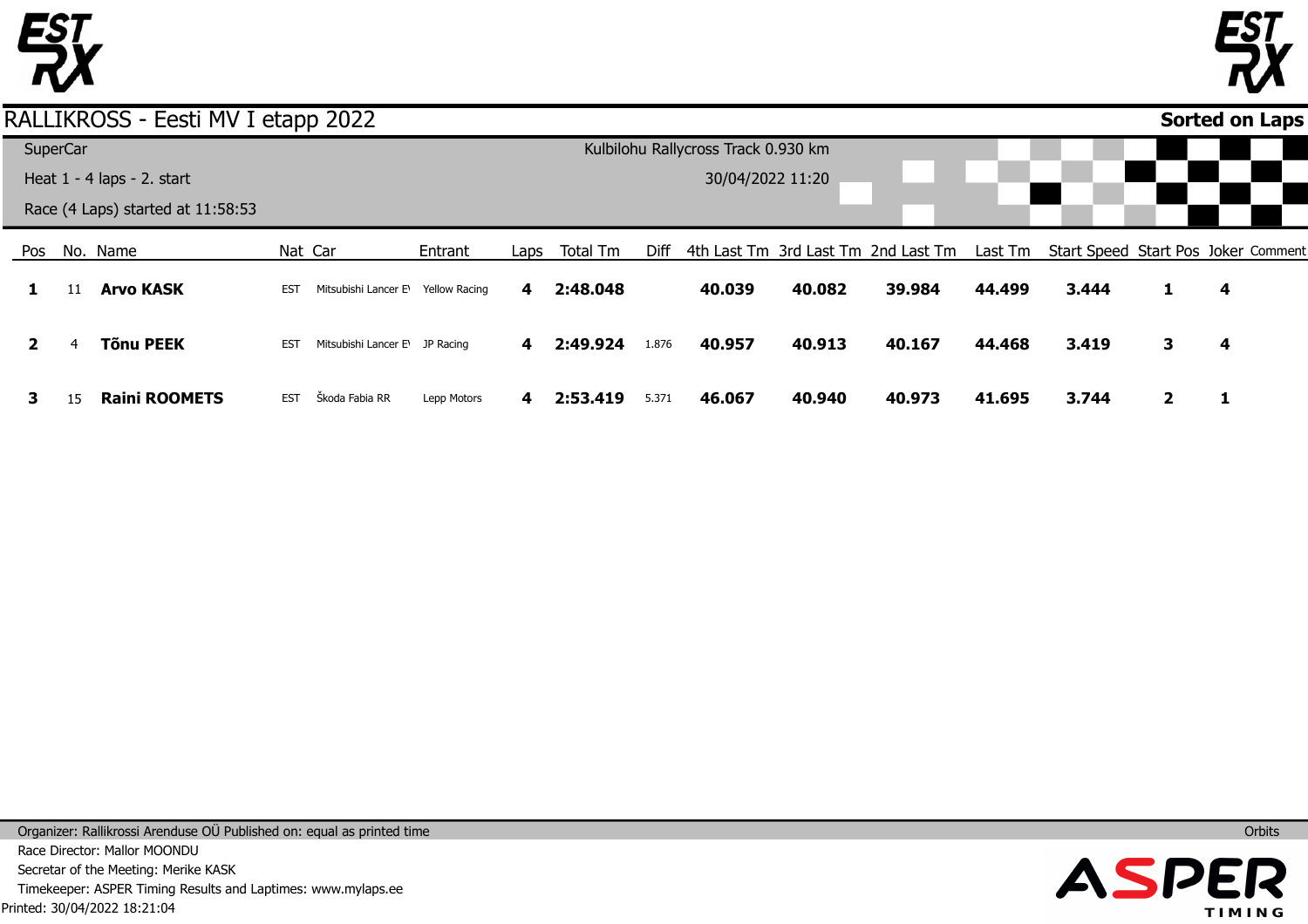



|    |          | RALLIKROSS - Eesti MV I etapp 2022 |            |                                |                      |      |          |       |                                     |        |                                                                                 |        |       |   | Sorted on Laps |  |
|----|----------|------------------------------------|------------|--------------------------------|----------------------|------|----------|-------|-------------------------------------|--------|---------------------------------------------------------------------------------|--------|-------|---|----------------|--|
|    | SuperCar |                                    |            |                                |                      |      |          |       | Kulbilohu Rallycross Track 0.930 km |        |                                                                                 |        |       |   |                |  |
|    |          | Heat $1 - 4$ laps $- 2$ . start    |            |                                |                      |      |          |       | 30/04/2022 11:20                    |        |                                                                                 |        |       |   |                |  |
|    |          | Race (4 Laps) started at 11:58:53  |            |                                |                      |      |          |       |                                     |        |                                                                                 |        |       |   |                |  |
|    |          | Pos No. Name                       | Nat Car    |                                | Entrant              | Laps | Total Tm | Diff  |                                     |        | 4th Last Tm 3rd Last Tm 2nd Last Tm Last Tm Start Speed Start Pos Joker Comment |        |       |   |                |  |
|    |          | <b>Arvo KASK</b>                   | <b>EST</b> | Mitsubishi Lancer E            | <b>Yellow Racing</b> | 4    | 2:48.048 |       | 40.039                              | 40.082 | 39.984                                                                          | 44.499 | 3.444 |   | 4              |  |
|    | 4        | Tõnu PEEK                          | <b>EST</b> | Mitsubishi Lancer E\ JP Racing |                      | 4    | 2:49.924 | 1.876 | 40.957                              | 40.913 | 40.167                                                                          | 44.468 | 3.419 | 3 | 4              |  |
| З. | 15       | <b>Raini ROOMETS</b>               | <b>EST</b> | Škoda Fabia RR                 | Lepp Motors          | 4    | 2:53.419 | 5.371 | 46.067                              | 40.940 | 40.973                                                                          | 41.695 | 3.744 |   |                |  |

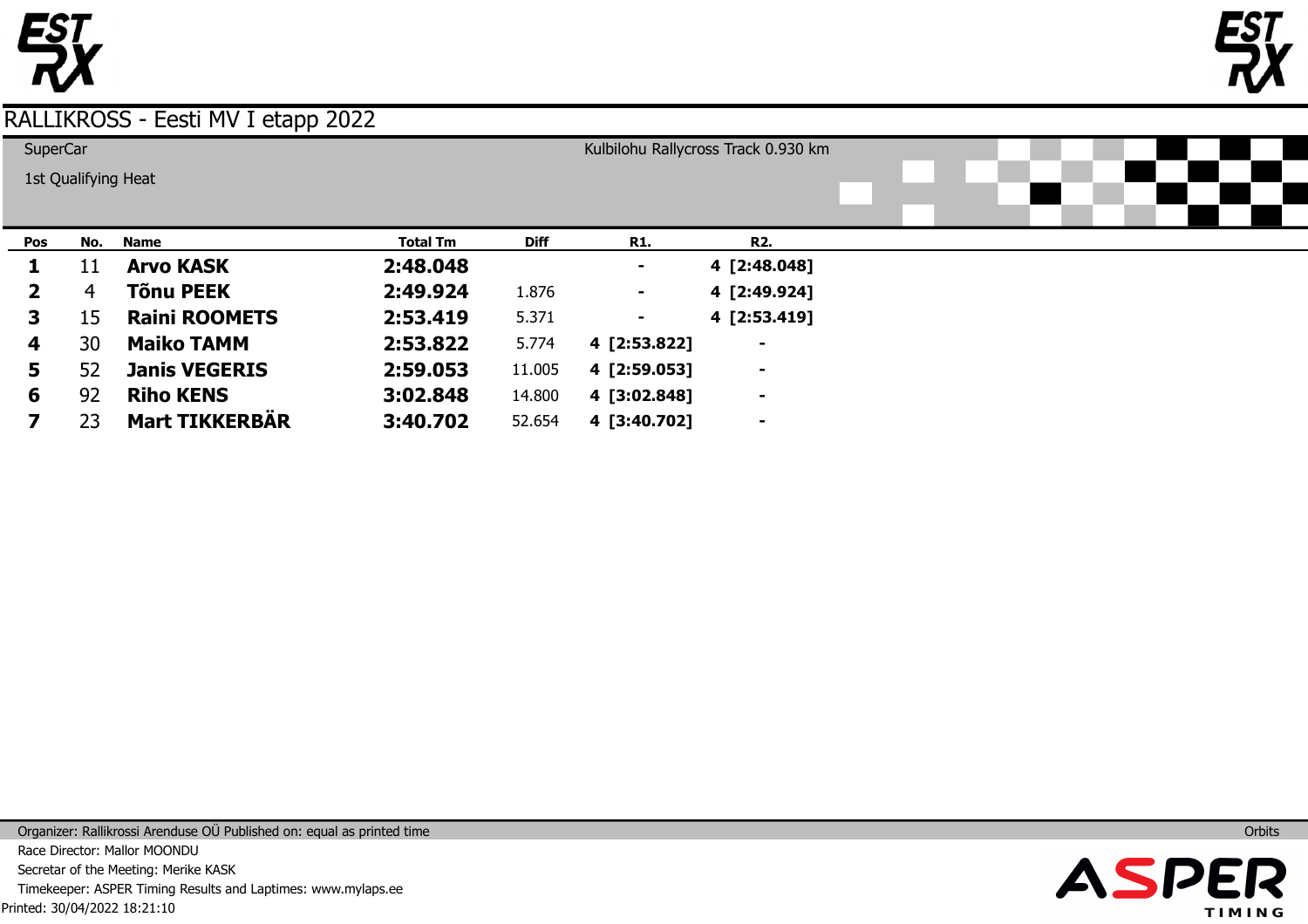



| SuperCar     |     |                       |                 |             |              | Kulbilohu Rallycross Track 0.930 km |  |  |  |
|--------------|-----|-----------------------|-----------------|-------------|--------------|-------------------------------------|--|--|--|
|              |     | 1st Qualifying Heat   |                 |             |              |                                     |  |  |  |
|              |     |                       |                 |             |              |                                     |  |  |  |
| Pos          | No. | Name                  | <b>Total Tm</b> | <b>Diff</b> | <b>R1.</b>   | <b>R2.</b>                          |  |  |  |
|              | 11  | <b>Arvo KASK</b>      | 2:48.048        |             |              | 4 [2:48.048]                        |  |  |  |
| $\mathbf{2}$ | 4   | <b>Tõnu PEEK</b>      | 2:49.924        | 1.876       | ٠.           | 4 [2:49.924]                        |  |  |  |
| 3            | 15  | <b>Raini ROOMETS</b>  | 2:53.419        | 5.371       |              | 4 [2:53.419]                        |  |  |  |
| 4            | 30  | <b>Maiko TAMM</b>     | 2:53.822        | 5.774       | 4 [2:53.822] | $\blacksquare$                      |  |  |  |
| 5            | 52  | <b>Janis VEGERIS</b>  | 2:59.053        | 11.005      | 4 [2:59.053] | $\blacksquare$                      |  |  |  |
| 6            | 92  | <b>Riho KENS</b>      | 3:02.848        | 14.800      | 4 [3:02.848] | $\blacksquare$                      |  |  |  |
|              | 23  | <b>Mart TIKKERBÄR</b> | 3:40.702        | 52.654      | 4 [3:40.702] | $\overline{\phantom{a}}$            |  |  |  |

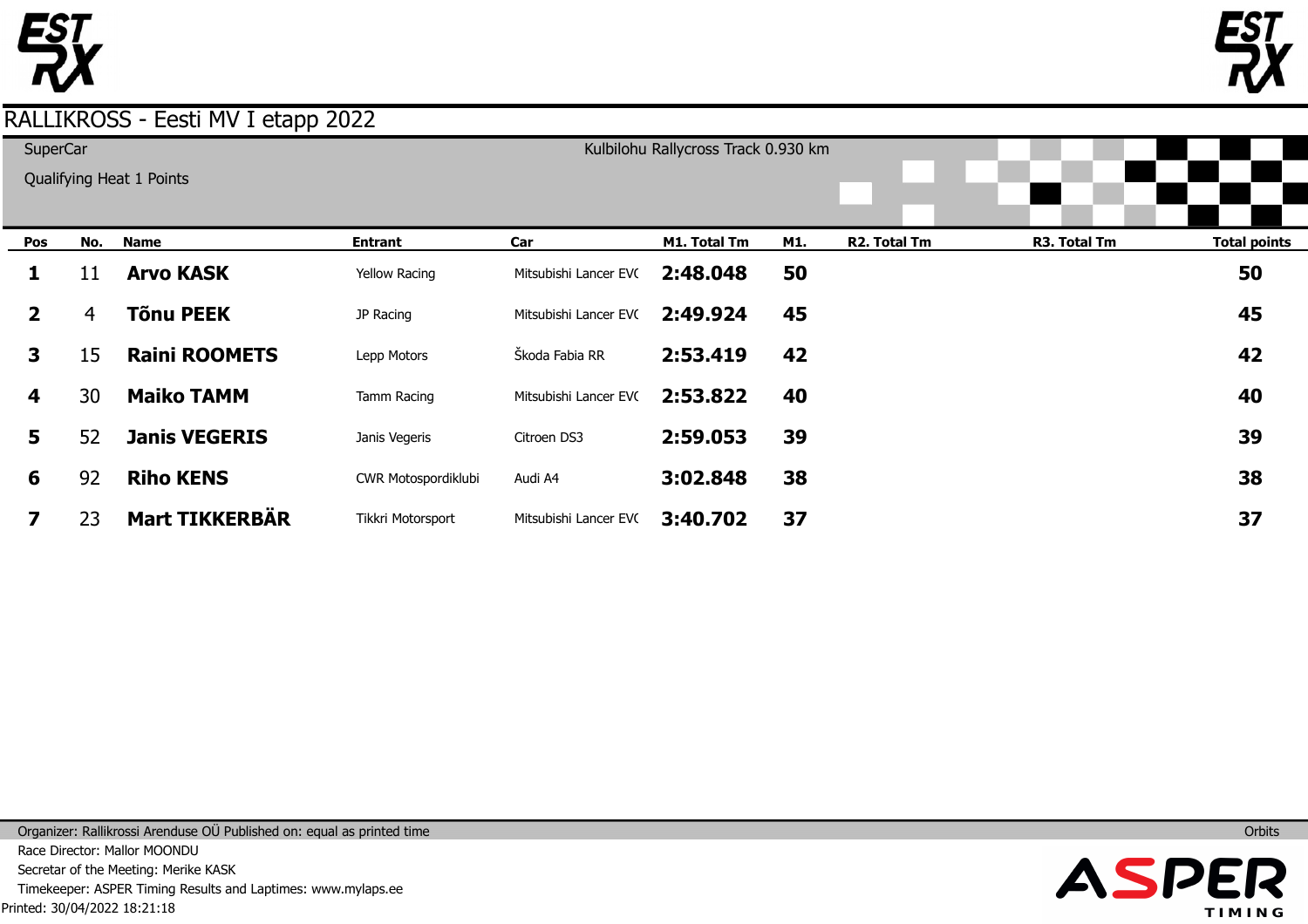



| SuperCar     |     | Qualifying Heat 1 Points |                     |                       | Kulbilohu Rallycross Track 0.930 km |     |              |              |                     |
|--------------|-----|--------------------------|---------------------|-----------------------|-------------------------------------|-----|--------------|--------------|---------------------|
| Pos          | No. | <b>Name</b>              | <b>Entrant</b>      | Car                   | M1. Total Tm                        | M1. | R2. Total Tm | R3. Total Tm | <b>Total points</b> |
| 1            | 11  | <b>Arvo KASK</b>         | Yellow Racing       | Mitsubishi Lancer EVC | 2:48.048                            | 50  |              |              | 50                  |
| $\mathbf{2}$ | 4   | <b>Tõnu PEEK</b>         | JP Racing           | Mitsubishi Lancer EVC | 2:49.924                            | 45  |              |              | 45                  |
| 3            | 15  | <b>Raini ROOMETS</b>     | Lepp Motors         | Škoda Fabia RR        | 2:53.419                            | 42  |              |              | 42                  |
| 4            | 30  | <b>Maiko TAMM</b>        | Tamm Racing         | Mitsubishi Lancer EVC | 2:53.822                            | 40  |              |              | 40                  |
| 5            | 52  | <b>Janis VEGERIS</b>     | Janis Vegeris       | Citroen DS3           | 2:59.053                            | 39  |              |              | 39                  |
| 6            | 92  | <b>Riho KENS</b>         | CWR Motospordiklubi | Audi A4               | 3:02.848                            | 38  |              |              | 38                  |
|              | 23  | <b>Mart TIKKERBÄR</b>    | Tikkri Motorsport   | Mitsubishi Lancer EVC | 3:40.702                            | 37  |              |              | 37                  |

Printed: 30/04/2022 18:21:18 Organizer: Rallikrossi Arenduse OÜ Published on: equal as printed time Race Director: Mallor MOONDU Secretar of the Meeting: Merike KASK Timekeeper: ASPER Timing Results and Laptimes: www.mylaps.ee

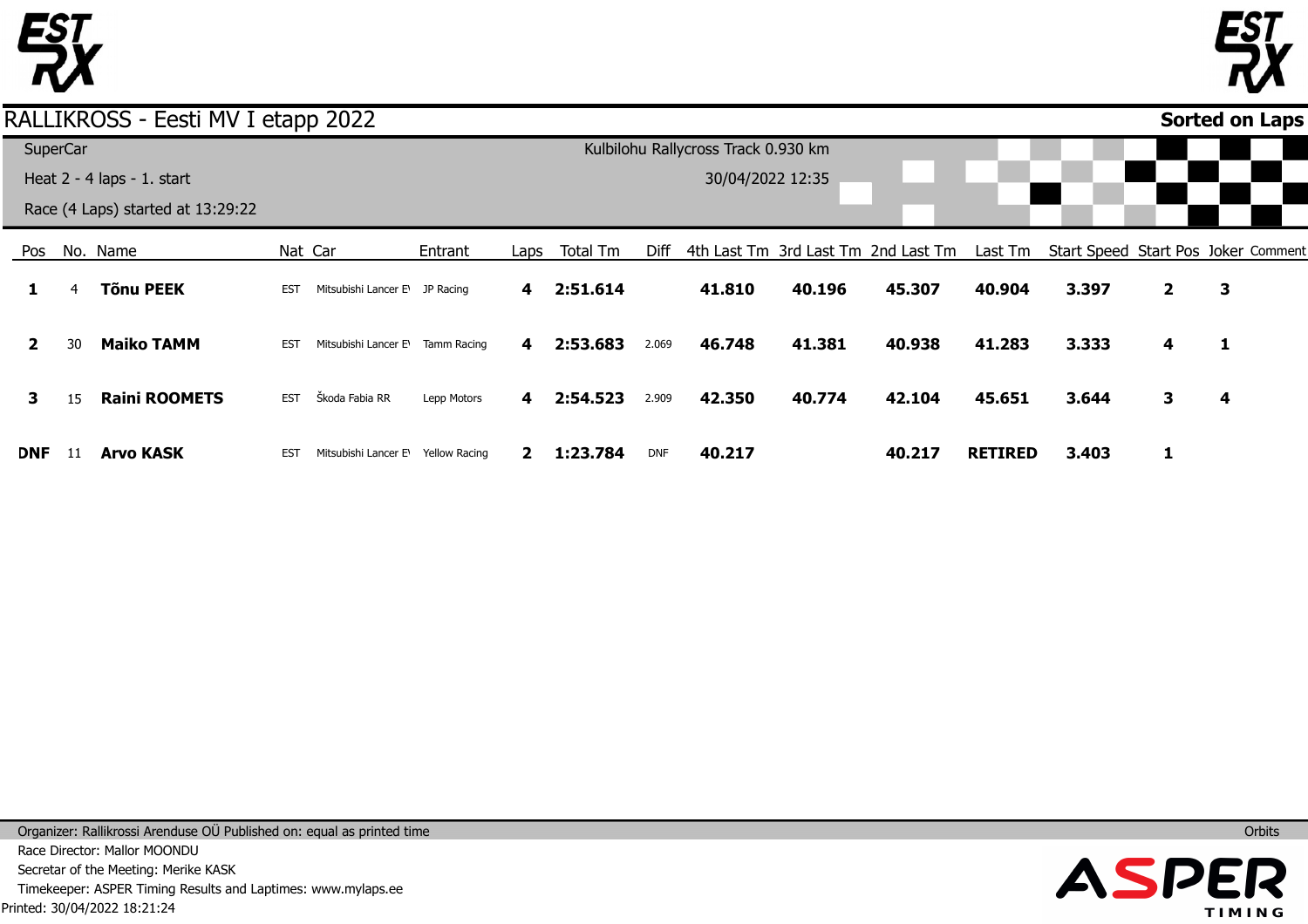



#### Pos **1 2 3 DNF** No. Name 4 30 15 11 **Tõnu PEEK Maiko TAMM Raini ROOMETS Arvo KASK** Nat Car EST Mitsubishi Lancer E\ JP Racing EST Mitsubishi Lancer E\Tamm Racing EST Škoda Fabia RR EST Mitsubishi Lancer E\ Yellow Racing Entrant Lepp Motors Laps **4 4 4 2 1:23.784** Total Tm **2:51.614 2:53.683 2:54.523** Diff 4th Last Tm 3rd Last Tm 2nd Last Tm 2.069 2.909 DNF **41.810 46.748 42.350 40.217 40.196 41.381 40.774 45.307 40.938 42.104 40.217** Last Tm Start Speed Start Pos Joker Comment **40.904 41.283 45.651 RETIRED 3.397 3.333 3.644 3.403 2 4 3 1 3 1 4 Sorted on Laps**RALLIKROSS - Eesti MV I etapp 2022 **SuperCar** Heat 2 - 4 laps - 1. start Race (4 Laps) started at 13:29:22 Kulbilohu Rallycross Track 0.930 km 30/04/2022 12:35

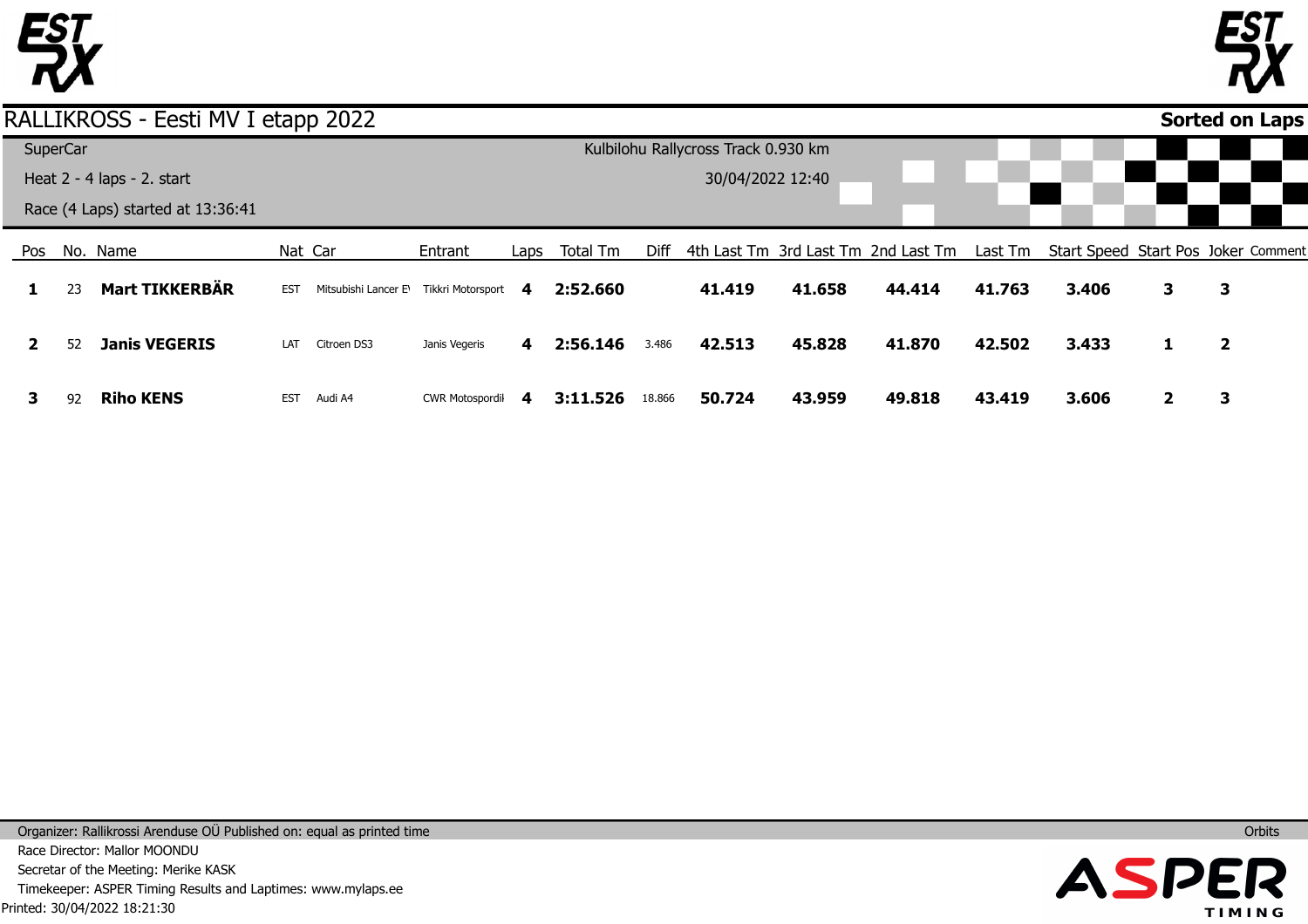



**Sorted on Laps**

#### RALLIKROSS - Eesti MV I etapp 2022

|              | <b>SuperCar</b> |                                   |            |                                          |                        |      |          |        | Kulbilohu Rallycross Track 0.930 km |        |                                                                                 |        |       |   |                         |  |
|--------------|-----------------|-----------------------------------|------------|------------------------------------------|------------------------|------|----------|--------|-------------------------------------|--------|---------------------------------------------------------------------------------|--------|-------|---|-------------------------|--|
|              |                 | Heat $2 - 4$ laps $- 2$ . start   |            |                                          |                        |      |          |        | 30/04/2022 12:40                    |        |                                                                                 |        |       |   |                         |  |
|              |                 | Race (4 Laps) started at 13:36:41 |            |                                          |                        |      |          |        |                                     |        |                                                                                 |        |       |   |                         |  |
| Pos          |                 | No. Name                          |            | Nat Car                                  | Entrant                | Laps | Total Tm | Diff   |                                     |        | 4th Last Tm 3rd Last Tm 2nd Last Tm Last Tm Start Speed Start Pos Joker Comment |        |       |   |                         |  |
| $\mathbf{1}$ | 23              | Mart TIKKERBÄR                    | <b>EST</b> | Mitsubishi Lancer E\ Tikkri Motorsport 4 |                        |      | 2:52.660 |        | 41.419                              | 41.658 | 44.414                                                                          | 41.763 | 3.406 | 3 | 3                       |  |
|              | 52              | <b>Janis VEGERIS</b>              | LAT        | Citroen DS3                              | Janis Vegeris          | 4    | 2:56.146 | 3.486  | 42.513                              | 45.828 | 41.870                                                                          | 42.502 | 3.433 | 1 | $\overline{\mathbf{2}}$ |  |
| 3.           | 92              | <b>Riho KENS</b>                  | EST        | Audi A4                                  | <b>CWR Motospordil</b> | -4   | 3:11.526 | 18.866 | 50.724                              | 43.959 | 49.818                                                                          | 43.419 | 3.606 |   |                         |  |

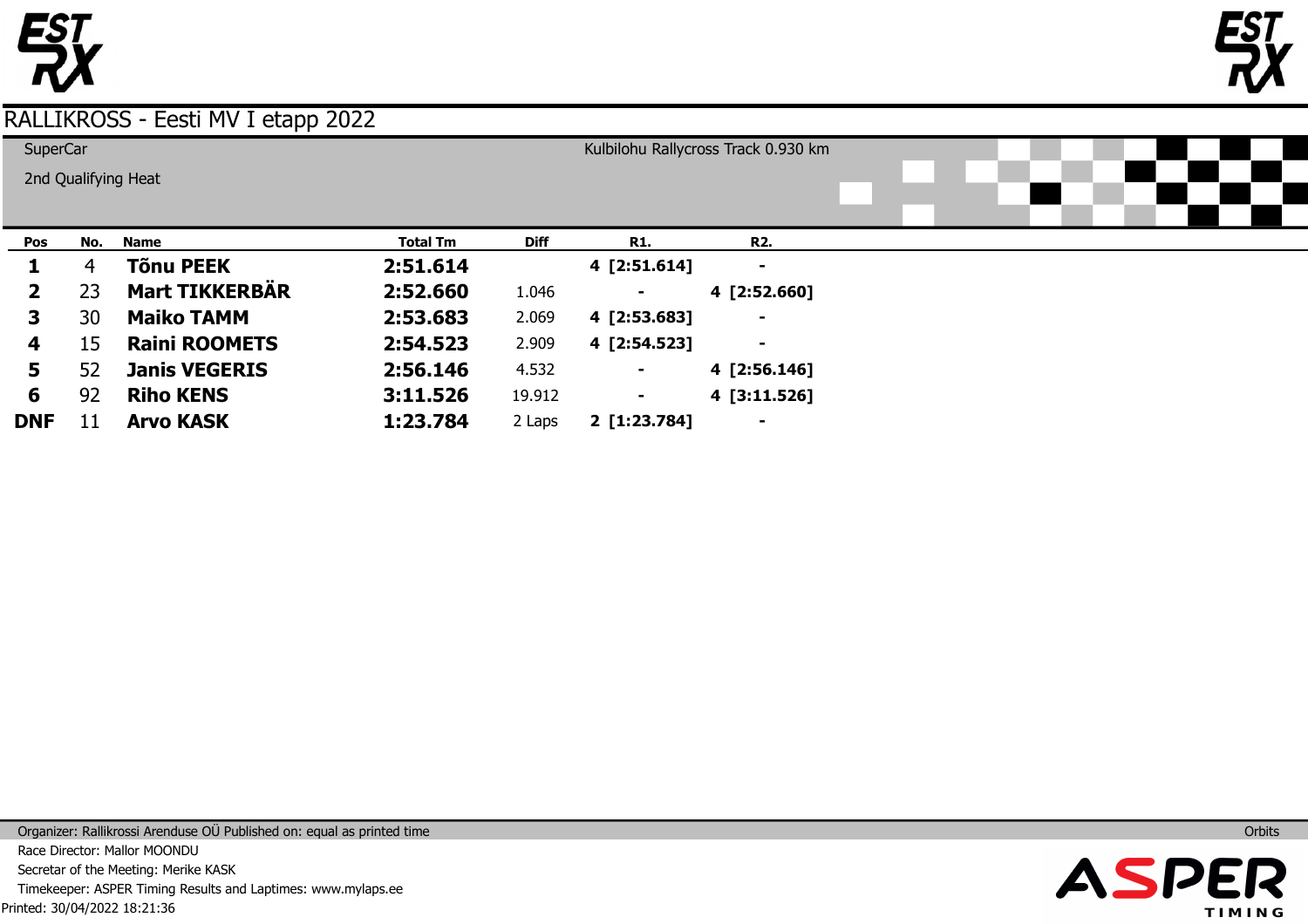



| <b>SuperCar</b> |     |                       |                 | Kulbilohu Rallycross Track 0.930 km |              |                          |  |  |  |
|-----------------|-----|-----------------------|-----------------|-------------------------------------|--------------|--------------------------|--|--|--|
|                 |     | 2nd Qualifying Heat   |                 |                                     |              |                          |  |  |  |
|                 |     |                       |                 |                                     |              |                          |  |  |  |
|                 |     |                       |                 |                                     |              |                          |  |  |  |
| Pos             | No. | <b>Name</b>           | <b>Total Tm</b> | <b>Diff</b>                         | <b>R1.</b>   | <b>R2.</b>               |  |  |  |
| ı               | 4   | Tõnu PEEK             | 2:51.614        |                                     | 4 [2:51.614] | ۰                        |  |  |  |
| $\mathbf{2}$    | 23  | <b>Mart TIKKERBÄR</b> | 2:52.660        | 1.046                               |              | 4 [2:52.660]             |  |  |  |
| 3               | 30  | <b>Maiko TAMM</b>     | 2:53.683        | 2.069                               | 4 [2:53.683] | $\blacksquare$           |  |  |  |
| 4               | 15  | <b>Raini ROOMETS</b>  | 2:54.523        | 2.909                               | 4 [2:54.523] | $\overline{\phantom{a}}$ |  |  |  |
| 5               | 52  | <b>Janis VEGERIS</b>  | 2:56.146        | 4.532                               | ۰            | 4 [2:56.146]             |  |  |  |
| 6               | 92  | <b>Riho KENS</b>      | 3:11.526        | 19.912                              | ۰            | 4 [3:11.526]             |  |  |  |
| <b>DNF</b>      | 11  | <b>Arvo KASK</b>      | 1:23.784        | 2 Laps                              | 2 [1:23.784] | $\blacksquare$           |  |  |  |

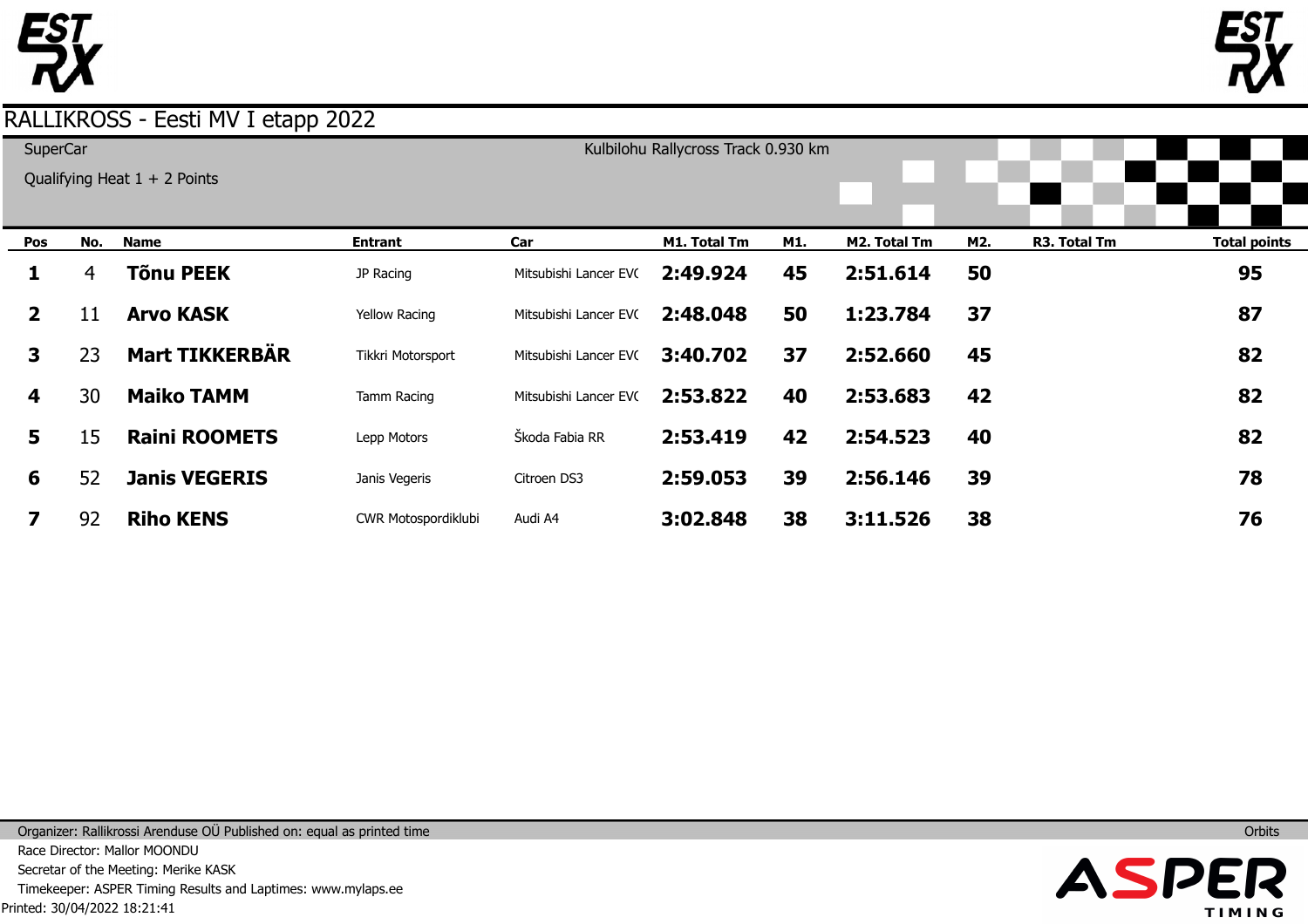



| SuperCar     |     | Qualifying Heat $1 + 2$ Points |                      |                       | Kulbilohu Rallycross Track 0.930 km |     |              |     |              |                     |
|--------------|-----|--------------------------------|----------------------|-----------------------|-------------------------------------|-----|--------------|-----|--------------|---------------------|
| Pos          | No. | <b>Name</b>                    | <b>Entrant</b>       | Car                   | M1. Total Tm                        | M1. | M2. Total Tm | M2. | R3. Total Tm | <b>Total points</b> |
| 1            | 4   | Tõnu PEEK                      | JP Racing            | Mitsubishi Lancer EVC | 2:49.924                            | 45  | 2:51.614     | 50  |              | 95                  |
| $\mathbf{2}$ | 11  | <b>Arvo KASK</b>               | <b>Yellow Racing</b> | Mitsubishi Lancer EVC | 2:48.048                            | 50  | 1:23.784     | 37  |              | 87                  |
| 3            | 23  | <b>Mart TIKKERBÄR</b>          | Tikkri Motorsport    | Mitsubishi Lancer EVC | 3:40.702                            | 37  | 2:52.660     | 45  |              | 82                  |
| 4            | 30  | <b>Maiko TAMM</b>              | Tamm Racing          | Mitsubishi Lancer EVC | 2:53.822                            | 40  | 2:53.683     | 42  |              | 82                  |
| 5            | 15  | <b>Raini ROOMETS</b>           | Lepp Motors          | Škoda Fabia RR        | 2:53.419                            | 42  | 2:54.523     | 40  |              | 82                  |
| 6            | 52  | <b>Janis VEGERIS</b>           | Janis Vegeris        | Citroen DS3           | 2:59.053                            | 39  | 2:56.146     | 39  |              | 78                  |
|              | 92  | <b>Riho KENS</b>               | CWR Motospordiklubi  | Audi A4               | 3:02.848                            | 38  | 3:11.526     | 38  |              | 76                  |

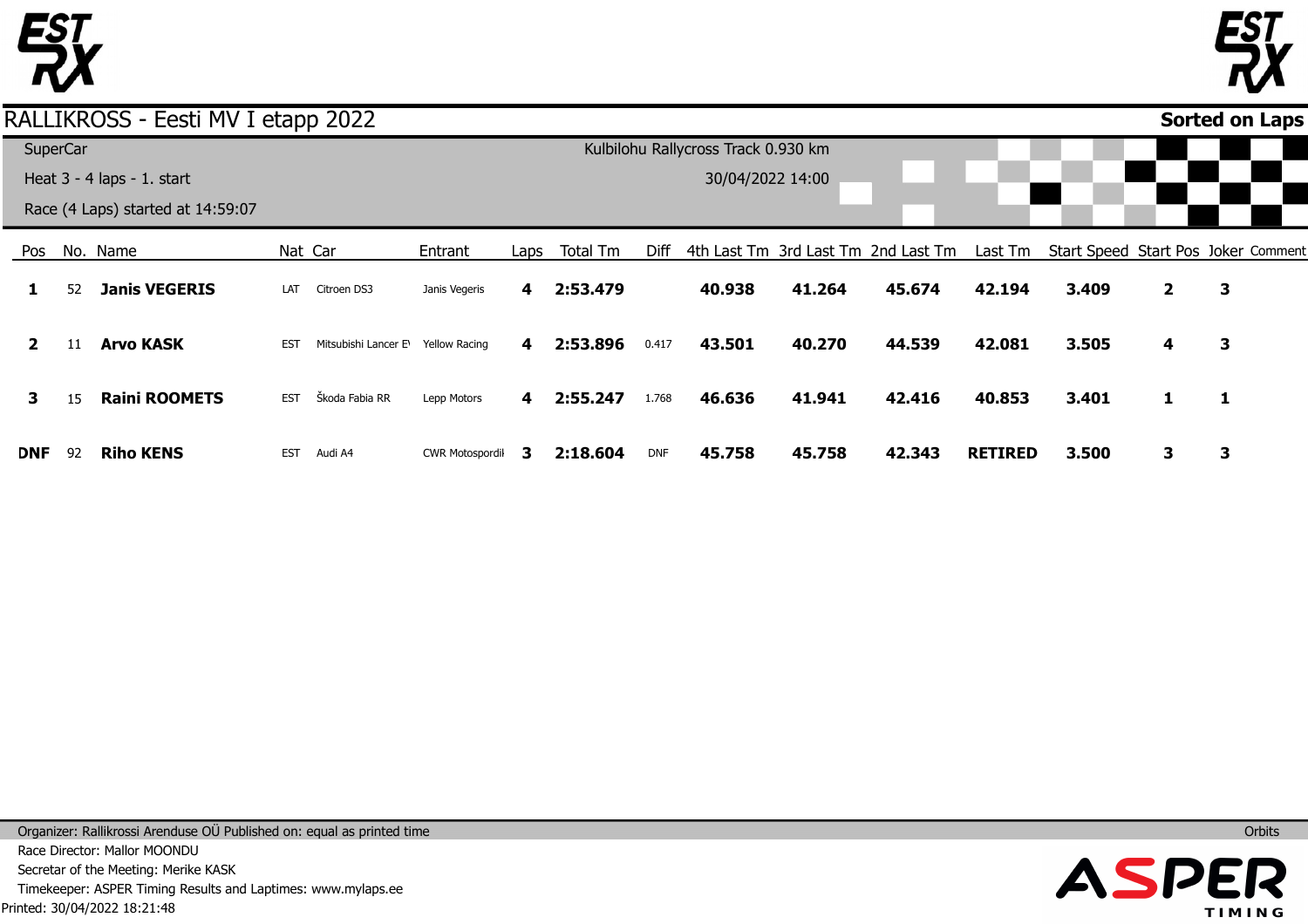



**Sorted on Laps**

## RALLIKROSS - Eesti MV I etapp 2022

| SuperCar     |    |                                   |            |                                                |                        |                         |          |            | Kulbilohu Rallycross Track 0.930 km |        |                                     |                |       |                |                                     |  |
|--------------|----|-----------------------------------|------------|------------------------------------------------|------------------------|-------------------------|----------|------------|-------------------------------------|--------|-------------------------------------|----------------|-------|----------------|-------------------------------------|--|
|              |    | Heat $3 - 4$ laps $- 1$ . start   |            |                                                |                        |                         |          |            | 30/04/2022 14:00                    |        |                                     |                |       |                |                                     |  |
|              |    | Race (4 Laps) started at 14:59:07 |            |                                                |                        |                         |          |            |                                     |        |                                     |                |       |                |                                     |  |
| Pos          |    | No. Name                          |            | Nat Car                                        | Entrant                | Laps                    | Total Tm | Diff       |                                     |        | 4th Last Tm 3rd Last Tm 2nd Last Tm | Last Tm        |       |                | Start Speed Start Pos Joker Comment |  |
|              | 52 | <b>Janis VEGERIS</b>              | LAT        | Citroen DS3                                    | Janis Vegeris          | 4                       | 2:53.479 |            | 40.938                              | 41.264 | 45.674                              | 42.194         | 3.409 | $\overline{2}$ | 3                                   |  |
| $\mathbf{2}$ | 11 | <b>Arvo KASK</b>                  | <b>EST</b> | Mitsubishi Lancer E <sup>1</sup> Yellow Racing |                        | 4                       | 2:53.896 | 0.417      | 43.501                              | 40.270 | 44.539                              | 42.081         | 3.505 | 4              | 3                                   |  |
| 3            | 15 | <b>Raini ROOMETS</b>              | <b>EST</b> | Škoda Fabia RR                                 | Lepp Motors            | $\overline{\mathbf{4}}$ | 2:55.247 | 1.768      | 46.636                              | 41.941 | 42.416                              | 40.853         | 3.401 |                | 1                                   |  |
| DNF.         | 92 | <b>Riho KENS</b>                  | <b>EST</b> | Audi A4                                        | <b>CWR Motospordil</b> | 3                       | 2:18.604 | <b>DNF</b> | 45.758                              | 45.758 | 42.343                              | <b>RETIRED</b> | 3.500 | 3              | 3                                   |  |

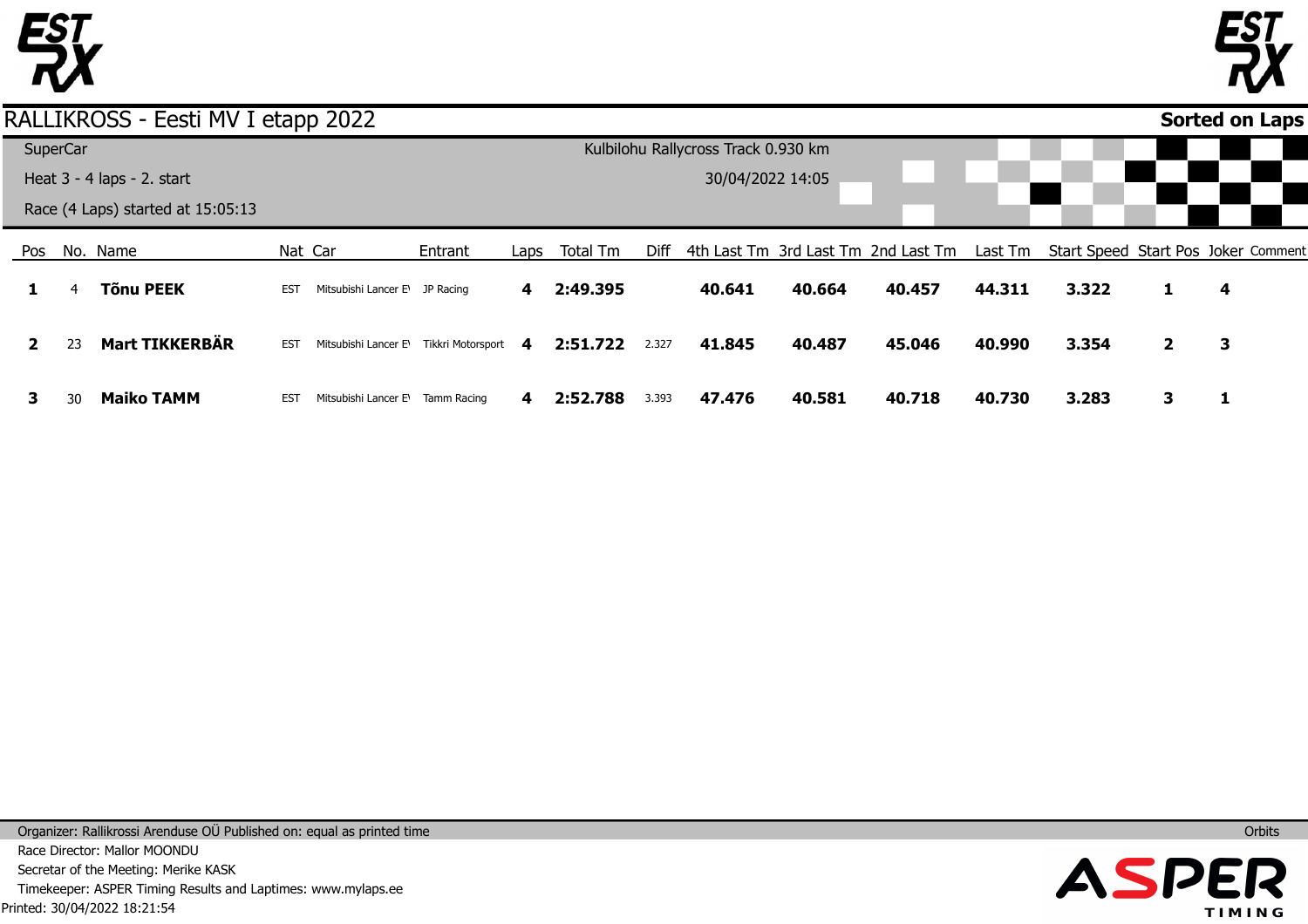



#### Pos **1 2 3** No. Name 4 23 30 **Tõnu PEEK Mart TIKKERBÄR Maiko TAMM** Nat Car EST Mitsubishi Lancer E\ JP Racing EST Mitsubishi Lancer E\Tikkri Motorsport EST Mitsubishi Lancer E\Tamm Racing Entrant Laps **4 4 4** Total Tm **2:49.395 2:51.722 2:52.788** Diff 4th Last Tm 3rd Last Tm 2nd Last Tm 2.327 3.393 **40.641 41.845 47.476 40.664 40.487 40.581 40.457 45.046 40.718** Last Tm Start Speed Start Pos Joker Comment **44.311 40.990 40.730 3.322 3.354 3.283 1 2 3 4 3 1 Sorted on Laps**RALLIKROSS - Eesti MV I etapp 2022 **SuperCar** Heat 3 - 4 laps - 2. start Race (4 Laps) started at 15:05:13 Kulbilohu Rallycross Track 0.930 km 30/04/2022 14:05

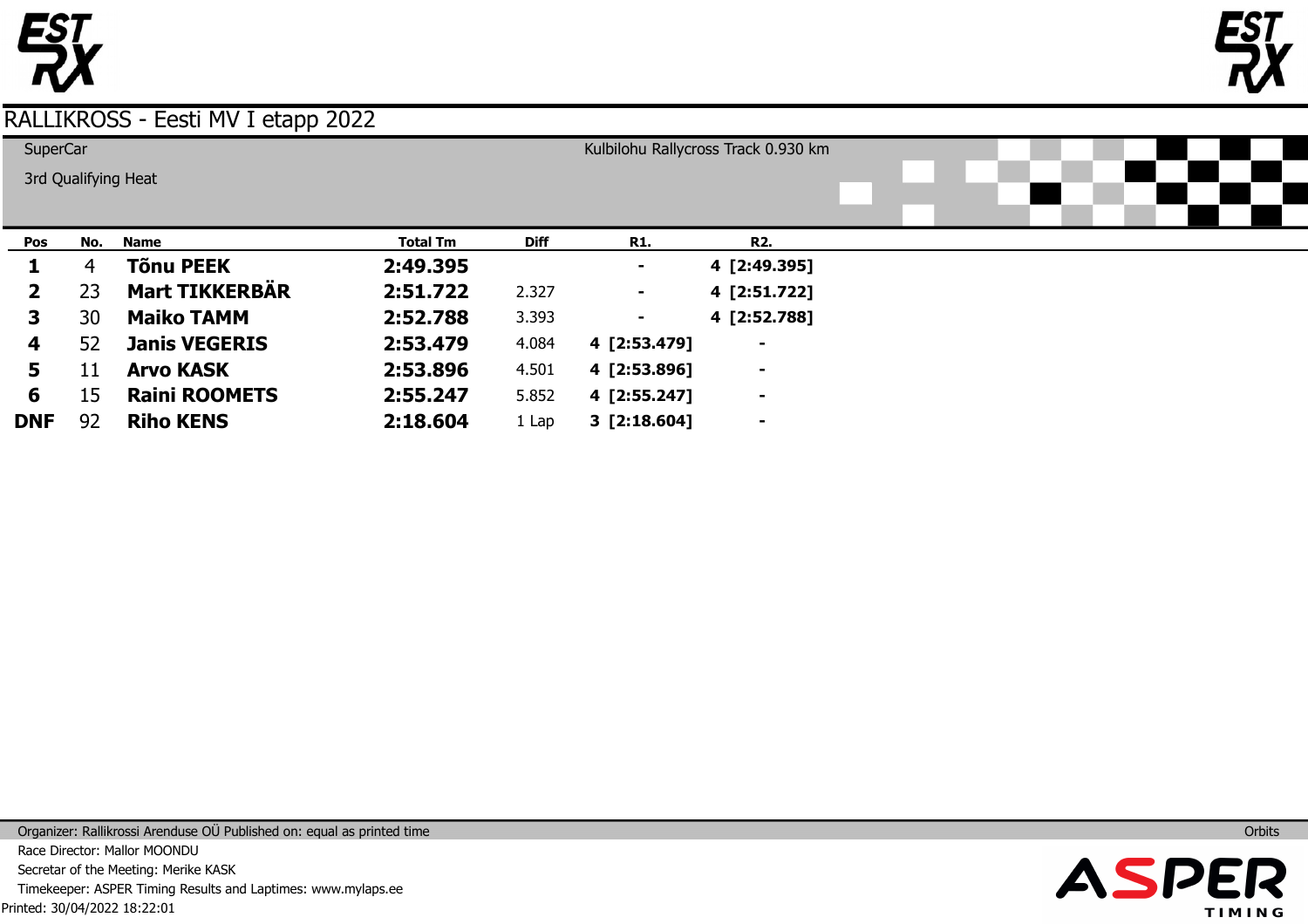



| SuperCar     |     |                       |                 |             |                | Kulbilohu Rallycross Track 0.930 km |  |  |  |
|--------------|-----|-----------------------|-----------------|-------------|----------------|-------------------------------------|--|--|--|
|              |     | 3rd Qualifying Heat   |                 |             |                |                                     |  |  |  |
|              |     |                       |                 |             |                |                                     |  |  |  |
| Pos          | No. | <b>Name</b>           | <b>Total Tm</b> | <b>Diff</b> | <b>R1.</b>     | <b>R2.</b>                          |  |  |  |
| 1            | 4   | <b>Tõnu PEEK</b>      | 2:49.395        |             |                | 4 [2:49.395]                        |  |  |  |
| $\mathbf{2}$ | 23  | <b>Mart TIKKERBÄR</b> | 2:51.722        | 2.327       | ٠.             | 4 [2:51.722]                        |  |  |  |
| 3.           | 30  | <b>Maiko TAMM</b>     | 2:52.788        | 3.393       | ۰              | 4 [2:52.788]                        |  |  |  |
| 4            | 52  | <b>Janis VEGERIS</b>  | 2:53.479        | 4.084       | 4 [2:53.479]   | $\blacksquare$                      |  |  |  |
| 5            | 11  | <b>Arvo KASK</b>      | 2:53.896        | 4.501       | 4 [2:53.896]   | $\blacksquare$                      |  |  |  |
| 6            | 15  | <b>Raini ROOMETS</b>  | 2:55.247        | 5.852       | 4 [2:55.247]   | $\blacksquare$                      |  |  |  |
| <b>DNF</b>   | 92  | <b>Riho KENS</b>      | 2:18.604        | 1 Lap       | $3$ [2:18.604] | $\blacksquare$                      |  |  |  |

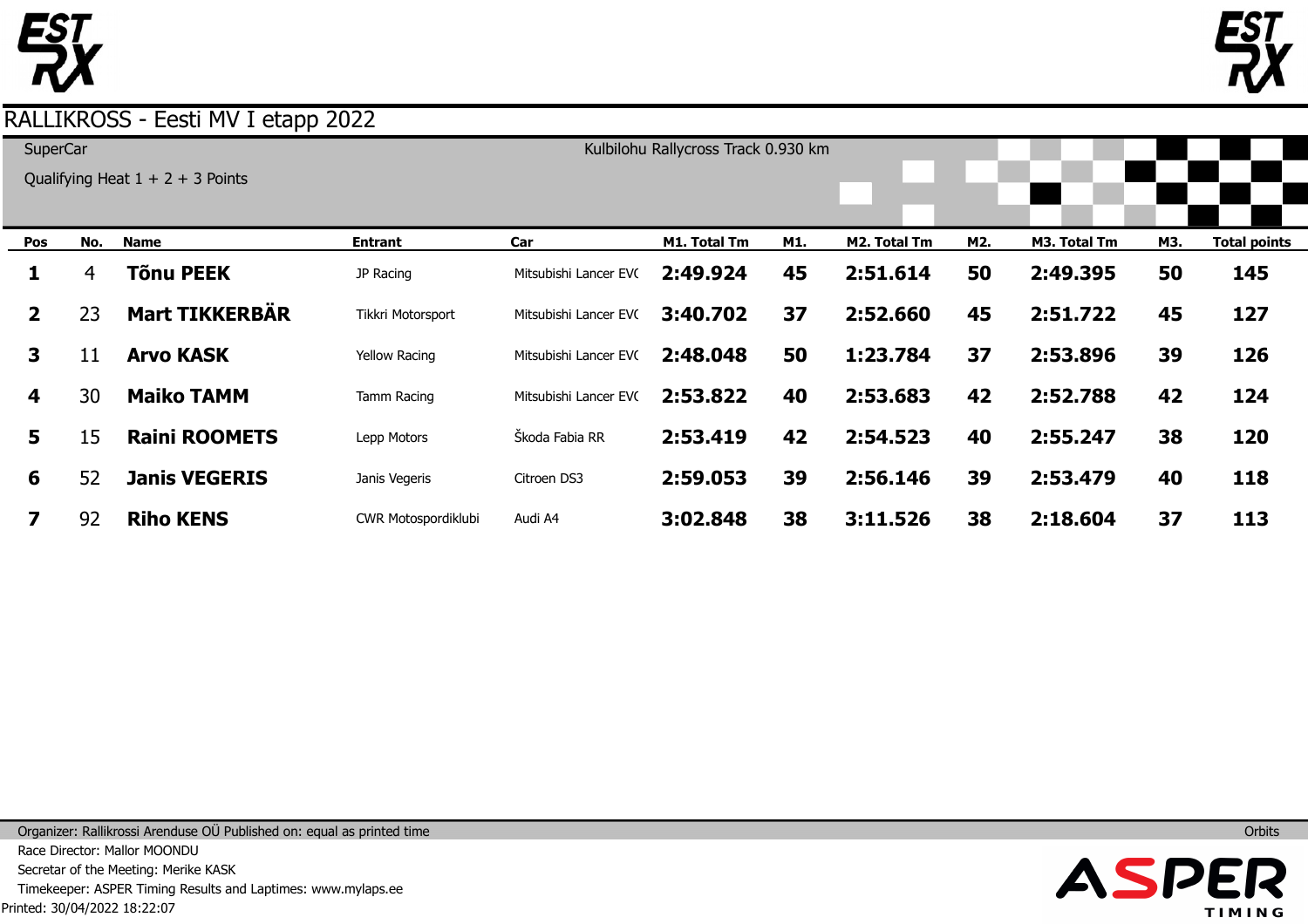



| SuperCar     |     | Qualifying Heat $1 + 2 + 3$ Points |                      |                       | Kulbilohu Rallycross Track 0.930 km |     |              |     |              |     |                     |
|--------------|-----|------------------------------------|----------------------|-----------------------|-------------------------------------|-----|--------------|-----|--------------|-----|---------------------|
| Pos          | No. | <b>Name</b>                        | <b>Entrant</b>       | Car                   | M1. Total Tm                        | M1. | M2. Total Tm | M2. | M3. Total Tm | M3. | <b>Total points</b> |
| 1            | 4   | <b>Tõnu PEEK</b>                   | JP Racing            | Mitsubishi Lancer EVC | 2:49.924                            | 45  | 2:51.614     | 50  | 2:49.395     | 50  | 145                 |
| $\mathbf{2}$ | 23  | <b>Mart TIKKERBÄR</b>              | Tikkri Motorsport    | Mitsubishi Lancer EVC | 3:40.702                            | 37  | 2:52.660     | 45  | 2:51.722     | 45  | 127                 |
| $\mathbf{3}$ | 11  | <b>Arvo KASK</b>                   | <b>Yellow Racing</b> | Mitsubishi Lancer EVC | 2:48.048                            | 50  | 1:23.784     | 37  | 2:53.896     | 39  | 126                 |
| 4            | 30  | <b>Maiko TAMM</b>                  | Tamm Racing          | Mitsubishi Lancer EVC | 2:53.822                            | 40  | 2:53.683     | 42  | 2:52.788     | 42  | 124                 |
| 5            | 15  | <b>Raini ROOMETS</b>               | Lepp Motors          | Škoda Fabia RR        | 2:53.419                            | 42  | 2:54.523     | 40  | 2:55.247     | 38  | 120                 |
| 6            | 52  | <b>Janis VEGERIS</b>               | Janis Vegeris        | Citroen DS3           | 2:59.053                            | 39  | 2:56.146     | 39  | 2:53.479     | 40  | 118                 |
|              | 92  | <b>Riho KENS</b>                   | CWR Motospordiklubi  | Audi A4               | 3:02.848                            | 38  | 3:11.526     | 38  | 2:18.604     | 37  | 113                 |

Printed: 30/04/2022 18:22:07 Organizer: Rallikrossi Arenduse OÜ Published on: equal as printed time Race Director: Mallor MOONDU Secretar of the Meeting: Merike KASK Timekeeper: ASPER Timing Results and Laptimes: www.mylaps.ee